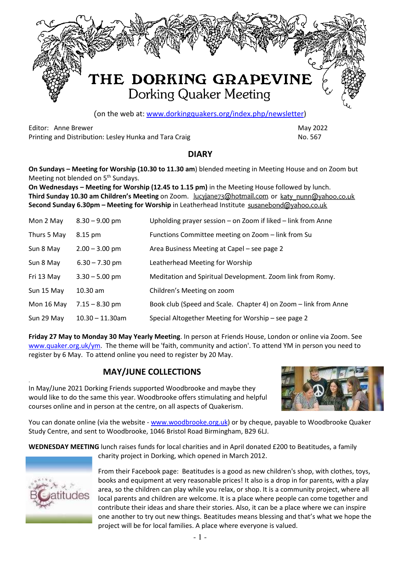

(on the web at: www.dorkingquakers.org/index.php/newsletter)

Editor: Anne Brewer May 2022 Printing and Distribution: Lesley Hunka and Tara Craig No. 2008. No. 567

#### **DIARY**

**On Sundays – Meeting for Worship (10.30 to 11.30 am**) blended meeting in Meeting House and on Zoom but Meeting not blended on 5<sup>th</sup> Sundays.

**On Wednesdays – Meeting for Worship (12.45 to 1.15 pm)** in the Meeting House followed by lunch. **Third Sunday 10.30 am Children's Meeting** on Zoom. **Lucyjane73@hotmail.com** or katy nunn@yahoo.co.uk **Second Sunday 6.30pm – Meeting for Worship** in Leatherhead Institute

| Mon 2 May   | $8.30 - 9.00$ pm   | Upholding prayer session – on Zoom if liked – link from Anne    |
|-------------|--------------------|-----------------------------------------------------------------|
| Thurs 5 May | 8.15 pm            | Functions Committee meeting on Zoom - link from Su              |
| Sun 8 May   | $2.00 - 3.00$ pm   | Area Business Meeting at Capel – see page 2                     |
| Sun 8 May   | $6.30 - 7.30$ pm   | Leatherhead Meeting for Worship                                 |
| Fri 13 May  | $3.30 - 5.00$ pm   | Meditation and Spiritual Development. Zoom link from Romy.      |
| Sun 15 May  | $10.30$ am         | Children's Meeting on zoom                                      |
| Mon 16 May  | $7.15 - 8.30$ pm   | Book club (Speed and Scale. Chapter 4) on Zoom - link from Anne |
| Sun 29 May  | $10.30 - 11.30$ am | Special Altogether Meeting for Worship – see page 2             |

**Friday 27 May to Monday 30 May Yearly Meeting**. In person at Friends House, London or online via Zoom. See www.quaker.org.uk/ym. The theme will be 'faith, community and action'. To attend YM in person you need to register by 6 May. To attend online you need to register by 20 May.

### **MAY/JUNE COLLECTIONS**

In May/June 2021 Dorking Friends supported Woodbrooke and maybe they would like to do the same this year. Woodbrooke offers stimulating and helpful courses online and in person at the centre, on all aspects of Quakerism.



You can donate online (via the website - www.woodbrooke.org.uk) or by cheque, payable to Woodbrooke Quaker Study Centre, and sent to Woodbrooke, 1046 Bristol Road Birmingham, B29 6LJ.

**WEDNESDAY MEETING** lunch raises funds for local charities and in April donated £200 to Beatitudes, a family charity project in Dorking, which opened in March 2012.



.

From their Facebook page: Beatitudes is a good as new children's shop, with clothes, toys, books and equipment at very reasonable prices! It also is a drop in for parents, with a play area, so the children can play while you relax, or shop. It is a community project, where all local parents and children are welcome. It is a place where people can come together and contribute their ideas and share their stories. Also, it can be a place where we can inspire one another to try out new things. Beatitudes means blessing and that's what we hope the project will be for local families. A place where everyone is valued.